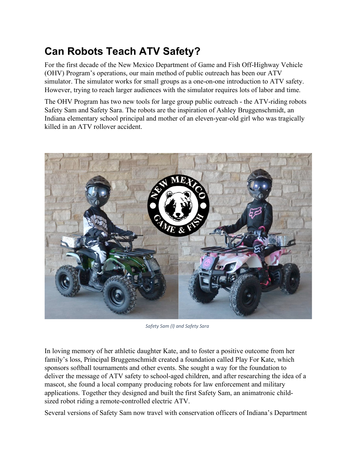## **Can Robots Teach ATV Safety?**

For the first decade of the New Mexico Department of Game and Fish Off-Highway Vehicle (OHV) Program's operations, our main method of public outreach has been our ATV simulator. The simulator works for small groups as a one-on-one introduction to ATV safety. However, trying to reach larger audiences with the simulator requires lots of labor and time.

The OHV Program has two new tools for large group public outreach - the ATV-riding robots Safety Sam and Safety Sara. The robots are the inspiration of Ashley Bruggenschmidt, an Indiana elementary school principal and mother of an eleven-year-old girl who was tragically killed in an ATV rollover accident.



*Safety Sam (l) and Safety Sara*

In loving memory of her athletic daughter Kate, and to foster a positive outcome from her family's loss, Principal Bruggenschmidt created a foundation called Play For Kate, which sponsors softball tournaments and other events. She sought a way for the foundation to deliver the message of ATV safety to school-aged children, and after researching the idea of a mascot, she found a local company producing robots for law enforcement and military applications. Together they designed and built the first Safety Sam, an animatronic childsized robot riding a remote-controlled electric ATV.

Several versions of Safety Sam now travel with conservation officers of Indiana's Department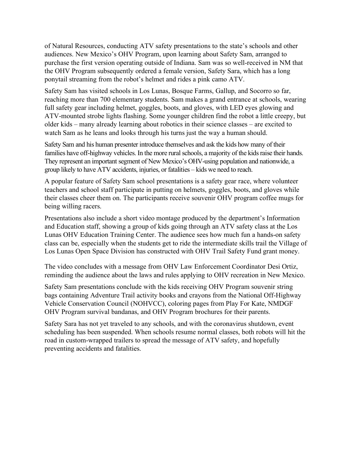of Natural Resources, conducting ATV safety presentations to the state's schools and other audiences. New Mexico's OHV Program, upon learning about Safety Sam, arranged to purchase the first version operating outside of Indiana. Sam was so well-received in NM that the OHV Program subsequently ordered a female version, Safety Sara, which has a long ponytail streaming from the robot's helmet and rides a pink camo ATV.

Safety Sam has visited schools in Los Lunas, Bosque Farms, Gallup, and Socorro so far, reaching more than 700 elementary students. Sam makes a grand entrance at schools, wearing full safety gear including helmet, goggles, boots, and gloves, with LED eyes glowing and ATV-mounted strobe lights flashing. Some younger children find the robot a little creepy, but older kids – many already learning about robotics in their science classes – are excited to watch Sam as he leans and looks through his turns just the way a human should.

Safety Sam and his human presenter introduce themselves and ask the kids how many of their families have off-highway vehicles. In the more rural schools, a majority of the kids raise their hands. They represent an important segment of New Mexico's OHV-using population and nationwide, a group likely to have ATV accidents, injuries, or fatalities – kids we need to reach.

A popular feature of Safety Sam school presentations is a safety gear race, where volunteer teachers and school staff participate in putting on helmets, goggles, boots, and gloves while their classes cheer them on. The participants receive souvenir OHV program coffee mugs for being willing racers.

Presentations also include a short video montage produced by the department's Information and Education staff, showing a group of kids going through an ATV safety class at the Los Lunas OHV Education Training Center. The audience sees how much fun a hands-on safety class can be, especially when the students get to ride the intermediate skills trail the Village of Los Lunas Open Space Division has constructed with OHV Trail Safety Fund grant money.

The video concludes with a message from OHV Law Enforcement Coordinator Desi Ortiz, reminding the audience about the laws and rules applying to OHV recreation in New Mexico.

Safety Sam presentations conclude with the kids receiving OHV Program souvenir string bags containing Adventure Trail activity books and crayons from the National Off-Highway Vehicle Conservation Council (NOHVCC), coloring pages from Play For Kate, NMDGF OHV Program survival bandanas, and OHV Program brochures for their parents.

Safety Sara has not yet traveled to any schools, and with the coronavirus shutdown, event scheduling has been suspended. When schools resume normal classes, both robots will hit the road in custom-wrapped trailers to spread the message of ATV safety, and hopefully preventing accidents and fatalities.